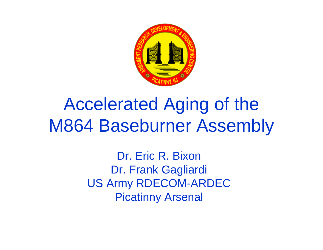

# Accelerated Aging of the M864 Baseburner Assembly

Dr. Eric R. BixonDr. Frank Gagliardi US Army RDECOM-ARDEC Picatinny Arsenal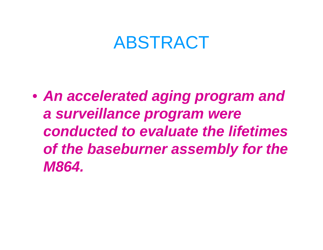#### ABSTRACT

• *An accelerated aging program and a surveillance program were conducted to evaluate the lifetimes of the baseburner assembly for the M864.*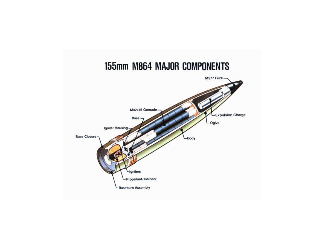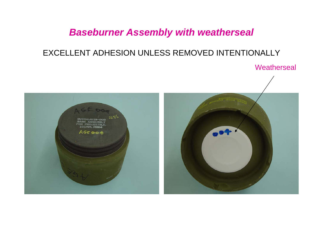#### *Baseburner Assembly with weatherseal*

#### EXCELLENT ADHESION UNLESS REMOVED INTENTIONALLY

**Weatherseal** 

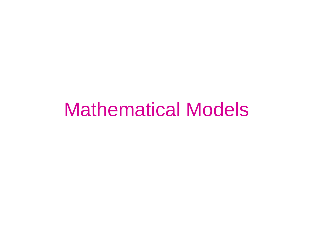## Mathematical Models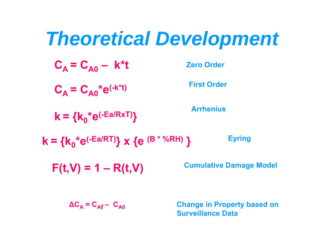# *Theoretical Development*

$$
C_A = C_{A0} - k^*t
$$

**Zero Order**

 $C_A = C_{A0}^* e^{(-k^*t)}$ 

**k = {k 0\*e(-Ea/RxT) }**

**Arrhenius**

**First Order**

**k = {k 0\*e(-Ea/RT)} x {e (B \* %RH) } Eyring**

 $F(t, V) = 1 - R(t, V)$  Cumulative Damage Model

**Δ C A = C**

**Change in Property based on Surveillance Data**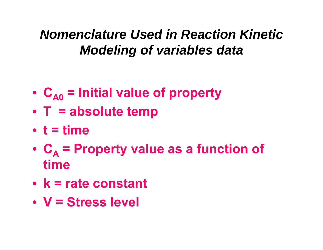*Nomenclature Used in Reaction Kinetic Modeling of variables data*

- C<sub>A0</sub> = Initial value of property
- **T = absolute temp**
- **t = time**
- **C A = Property value as a function of time**
- **k = rate constant**
- **V = Stress level**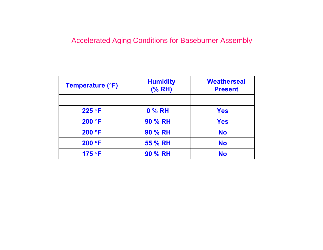#### Accelerated Aging Conditions for Baseburner Assembly

| <b>Temperature (°F)</b> | <b>Humidity</b><br>(% RH) | <b>Weatherseal</b><br><b>Present</b> |
|-------------------------|---------------------------|--------------------------------------|
|                         |                           |                                      |
| 225 °F                  | 0 % RH                    | <b>Yes</b>                           |
| 200 °F                  | 90 % RH                   | <b>Yes</b>                           |
| 200 °F                  | <b>90 % RH</b>            | <b>No</b>                            |
| 200 °F                  | 55 % RH                   | <b>No</b>                            |
| 175 °F                  | 90 % RH                   | <b>No</b>                            |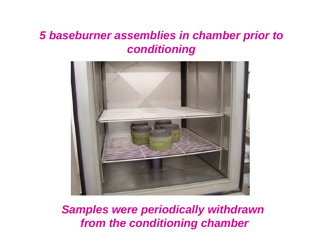#### *5 baseburner assemblies in chamber prior to conditioning*



*Samples were periodically withdrawn from the conditioning chamber*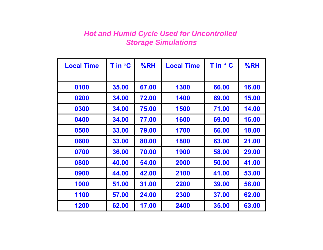#### *Hot and Humid Cycle Used for Uncontrolled Storage Simulations*

| <b>Local Time</b> | T in $\mathrm{C}$ | %RH   | <b>Local Time</b> | T in ° C | %RH   |
|-------------------|-------------------|-------|-------------------|----------|-------|
|                   |                   |       |                   |          |       |
| 0100              | 35.00             | 67.00 | 1300              | 66.00    | 16.00 |
| 0200              | 34.00             | 72.00 | 1400              | 69.00    | 15.00 |
| 0300              | 34.00             | 75.00 | 1500              | 71.00    | 14.00 |
| 0400              | 34.00             | 77.00 | 1600              | 69.00    | 16.00 |
| 0500              | 33.00             | 79.00 | 1700              | 66.00    | 18.00 |
| 0600              | 33.00             | 80.00 | 1800              | 63.00    | 21.00 |
| 0700              | 36.00             | 70.00 | 1900              | 58.00    | 29.00 |
| 0800              | 40.00             | 54.00 | 2000              | 50.00    | 41.00 |
| 0900              | 44.00             | 42.00 | 2100              | 41.00    | 53.00 |
| 1000              | 51.00             | 31.00 | 2200              | 39.00    | 58.00 |
| 1100              | 57.00             | 24.00 | 2300              | 37.00    | 62.00 |
| 1200              | 62.00             | 17.00 | 2400              | 35.00    | 63.00 |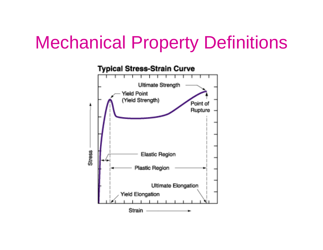## Mechanical Property Definitions

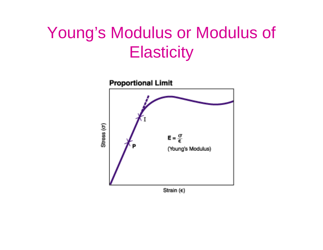#### Young's Modulus or Modulus of **Elasticity**

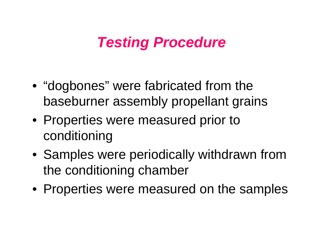#### *Testing Procedure*

- "dogbones" were fabricated from the baseburner assembly propellant grains
- Properties were measured prior to conditioning
- Samples were periodically withdrawn from the conditioning chamber
- Properties were measured on the samples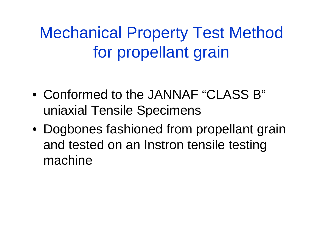Mechanical Property Test Method for propellant grain

- Conformed to the JANNAF "CLASS B" uniaxial Tensile Specimens
- Dogbones fashioned from propellant grain and tested on an Instron tensile testing machine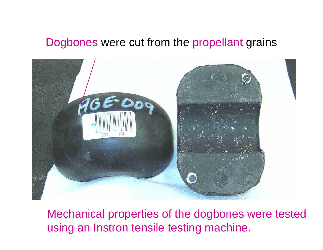#### Dogbones were cut from the propellant grains



Mechanical properties of the dogbones were tested using an Instron tensile testing machine.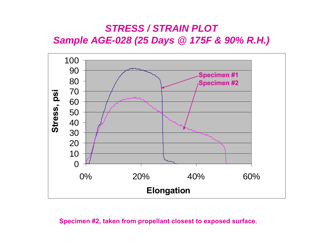#### *STRESS / STRAIN PLOTSample AGE-028 (25 Days @ 175F & 90% R.H.)*



#### **Specimen #2, taken from propellant closest to exposed surface.**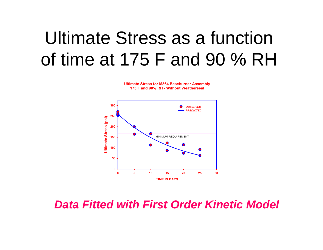# Ultimate Stress as a function of time at 175 F and 90 % RH

**Ultimate Stress for M864 Baseburner Assembly 175 F and 90% RH - Without Weatherseal**



*Data Fitted with First Order Kinetic Model*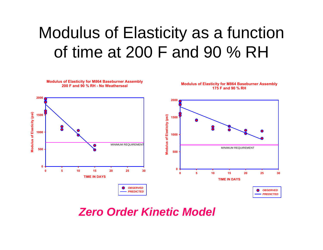### Modulus of Elasticity as a function of time at 200 F and 90 % RH



*Zero Order Kinetic Model*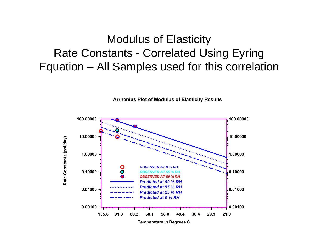#### Modulus of Elasticity Rate Constants - Correlated Using Eyring Equation – All Samples used for this correlation



**Arrhenius Plot of Modulus of Elasticity Results**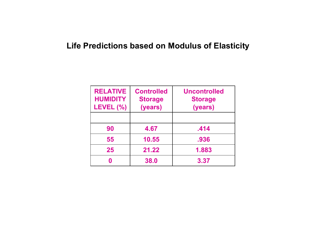#### **Life Predictions based on Modulus of Elasticity**

| <b>RELATIVE</b><br><b>HUMIDITY</b><br>LEVEL (%) | <b>Controlled</b><br><b>Storage</b><br>(years) | <b>Uncontrolled</b><br><b>Storage</b><br>(years) |
|-------------------------------------------------|------------------------------------------------|--------------------------------------------------|
|                                                 |                                                |                                                  |
| 90                                              | 4.67                                           | .414                                             |
| 55                                              | 10.55                                          | .936                                             |
| 25                                              | 21.22                                          | 1.883                                            |
|                                                 | 38.0                                           | 3.37                                             |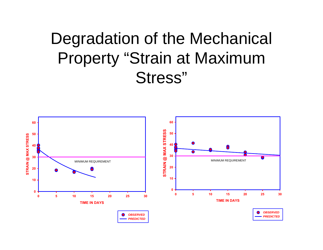### Degradation of the Mechanical Property "Strain at Maximum Stress"

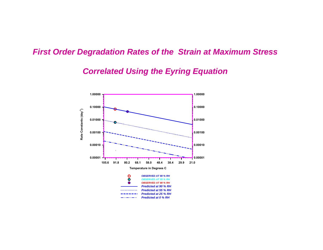#### *First Order Degradation Rates of the Strain at Maximum Stress*

#### *Correlated Using the Eyring Equation*

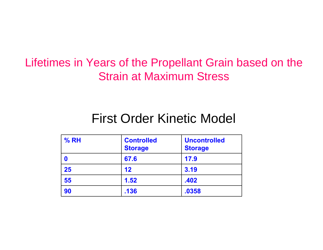#### Lifetimes in Years of the Propellant Grain based on the Strain at Maximum Stress

#### First Order Kinetic Model

| % RH | <b>Controlled</b><br><b>Storage</b> | <b>Uncontrolled</b><br><b>Storage</b> |
|------|-------------------------------------|---------------------------------------|
|      | 67.6                                | 17.9                                  |
| 25   | $12 \ \mathsf{ }$                   | 3.19                                  |
| 55   | 1.52                                | .402                                  |
| 90   | .136                                | .0358                                 |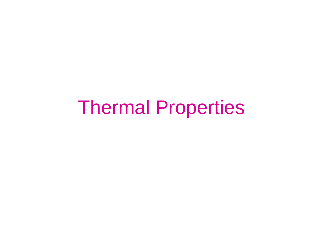# Thermal Properties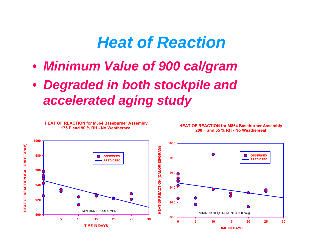#### *Heat of Reaction*

- *Minimum Value of 900 cal/gram*
- *Degraded in both stockpile and accelerated aging study*

**HEAT OF REACTION for M864 Baseburner Assembly**

![](_page_24_Figure_3.jpeg)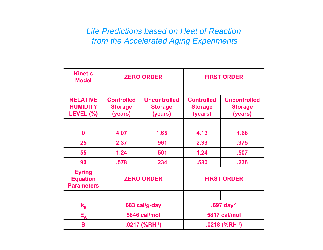#### *Life Predictions based on Heat of Reaction from the Accelerated Aging Experiments*

| <b>Kinetic</b><br><b>Model</b>                        | <b>ZERO ORDER</b>                              |                                                  | <b>FIRST ORDER</b>                             |                                                  |
|-------------------------------------------------------|------------------------------------------------|--------------------------------------------------|------------------------------------------------|--------------------------------------------------|
|                                                       |                                                |                                                  |                                                |                                                  |
| <b>RELATIVE</b><br><b>HUMIDITY</b><br>LEVEL (%)       | <b>Controlled</b><br><b>Storage</b><br>(years) | <b>Uncontrolled</b><br><b>Storage</b><br>(years) | <b>Controlled</b><br><b>Storage</b><br>(years) | <b>Uncontrolled</b><br><b>Storage</b><br>(years) |
|                                                       |                                                |                                                  |                                                |                                                  |
| $\boldsymbol{0}$                                      | 4.07                                           | 1.65                                             | 4.13                                           | 1.68                                             |
| 25                                                    | 2.37                                           | .961                                             | 2.39                                           | .975                                             |
| 55                                                    | 1.24                                           | .501                                             | 1.24                                           | .507                                             |
| 90                                                    | .578                                           | .234                                             | .580                                           | .236                                             |
| <b>Eyring</b><br><b>Equation</b><br><b>Parameters</b> | <b>ZERO ORDER</b>                              |                                                  | <b>FIRST ORDER</b>                             |                                                  |
|                                                       |                                                |                                                  |                                                |                                                  |
| $k_{0}$                                               | 683 cal/g-day                                  |                                                  |                                                | .697 day-1                                       |
| $E_{A}$                                               | 5846 cal/mol                                   |                                                  | 5817 cal/mol                                   |                                                  |
| B                                                     | $.0217$ (%RH $-1$ )                            |                                                  | $.0218$ (%RH $-1$ )                            |                                                  |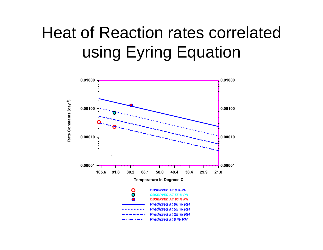## Heat of Reaction rates correlated using Eyring Equation

![](_page_26_Figure_1.jpeg)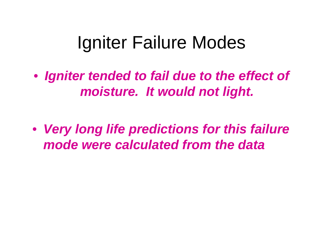# Igniter Failure Modes

• *Igniter tended to fail due to the effect of moisture. It would not light.*

• *Very long life predictions for this failure mode were calculated from the data*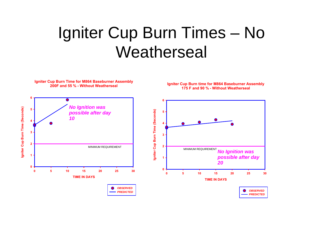#### Igniter Cup Burn Times – No **Weatherseal**

![](_page_28_Figure_1.jpeg)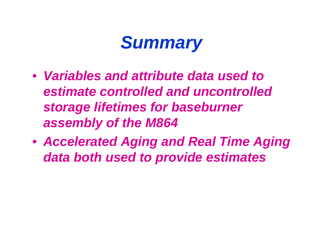## *Summary*

- *Variables and attribute data used to estimate controlled and uncontrolled storage lifetimes for baseburner assembly of the M864*
- *Accelerated Aging and Real Time Aging data both used to provide estimates*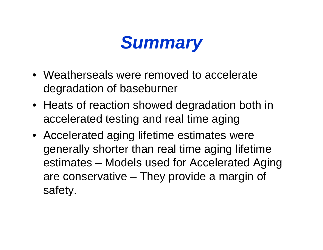## *Summary*

- Weatherseals were removed to accelerate degradation of baseburner
- Heats of reaction showed degradation both in accelerated testing and real time aging
- Accelerated aging lifetime estimates were generally shorter than real time aging lifetime estimates – Models used for Accelerated Aging are conservative – They provide a margin of safety.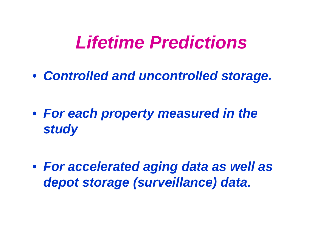## *Lifetime Predictions*

• *Controlled and uncontrolled storage.*

• *For each property measured in the study*

• *For accelerated aging data as well as depot storage (surveillance) data.*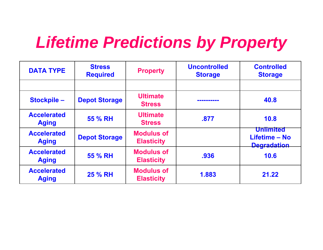### *Lifetime Predictions by Property*

| <b>DATA TYPE</b>                   | <b>Stress</b><br><b>Required</b> | <b>Property</b>                        | <b>Uncontrolled</b><br><b>Storage</b> | <b>Controlled</b><br><b>Storage</b>                     |
|------------------------------------|----------------------------------|----------------------------------------|---------------------------------------|---------------------------------------------------------|
|                                    |                                  |                                        |                                       |                                                         |
| <b>Stockpile-</b>                  | <b>Depot Storage</b>             | <b>Ultimate</b><br><b>Stress</b>       |                                       | 40.8                                                    |
| <b>Accelerated</b><br><b>Aging</b> | 55 % RH                          | <b>Ultimate</b><br><b>Stress</b>       | .877                                  | 10.8                                                    |
| <b>Accelerated</b><br><b>Aging</b> | <b>Depot Storage</b>             | <b>Modulus of</b><br><b>Elasticity</b> |                                       | <b>Unlimited</b><br>Lifetime - No<br><b>Degradation</b> |
| <b>Accelerated</b><br><b>Aging</b> | 55 % RH                          | <b>Modulus of</b><br><b>Elasticity</b> | .936                                  | 10.6                                                    |
| <b>Accelerated</b><br><b>Aging</b> | <b>25 % RH</b>                   | <b>Modulus of</b><br><b>Elasticity</b> | 1.883                                 | 21.22                                                   |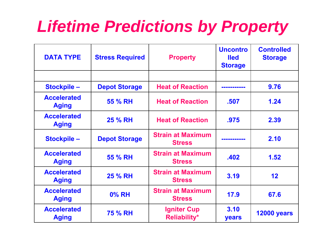### *Lifetime Predictions by Property*

| <b>DATA TYPE</b>                   | <b>Stress Required</b> | <b>Property</b>                           | <b>Uncontro</b><br><b>lled</b><br><b>Storage</b> | <b>Controlled</b><br><b>Storage</b> |
|------------------------------------|------------------------|-------------------------------------------|--------------------------------------------------|-------------------------------------|
|                                    |                        |                                           |                                                  |                                     |
| <b>Stockpile-</b>                  | <b>Depot Storage</b>   | <b>Heat of Reaction</b>                   |                                                  | 9.76                                |
| <b>Accelerated</b><br><b>Aging</b> | 55 % RH                | <b>Heat of Reaction</b>                   | .507                                             | 1.24                                |
| <b>Accelerated</b><br><b>Aging</b> | <b>25 % RH</b>         | <b>Heat of Reaction</b>                   | .975                                             | 2.39                                |
| Stockpile-                         | <b>Depot Storage</b>   | <b>Strain at Maximum</b><br><b>Stress</b> | ---------                                        | 2.10                                |
| <b>Accelerated</b><br><b>Aging</b> | 55 % RH                | <b>Strain at Maximum</b><br><b>Stress</b> | .402                                             | 1.52                                |
| <b>Accelerated</b><br><b>Aging</b> | <b>25 % RH</b>         | <b>Strain at Maximum</b><br><b>Stress</b> | 3.19                                             | 12                                  |
| <b>Accelerated</b><br><b>Aging</b> | <b>0% RH</b>           | <b>Strain at Maximum</b><br><b>Stress</b> | 17.9                                             | 67.6                                |
| <b>Accelerated</b><br><b>Aging</b> | <b>75 % RH</b>         | <b>Igniter Cup</b><br><b>Reliability*</b> | 3.10<br>years                                    | <b>12000 years</b>                  |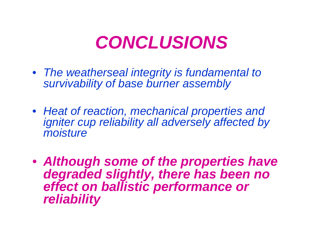## *CONCLUSIONS*

- *The weatherseal integrity is fundamental to survivability of base burner assembly*
- *Heat of reaction, mechanical properties and igniter cup reliability all adversely affected by moisture*
- *Although some of the properties have degraded slightly, there has been no effect on ballistic performance or reliability*